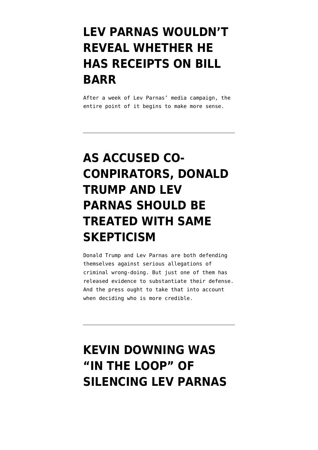### **[LEV PARNAS WOULDN'T](https://www.emptywheel.net/2020/01/19/lev-parnas-wouldnt-reveal-whether-he-has-receipts-on-bill-barr/) [REVEAL WHETHER HE](https://www.emptywheel.net/2020/01/19/lev-parnas-wouldnt-reveal-whether-he-has-receipts-on-bill-barr/) [HAS RECEIPTS ON BILL](https://www.emptywheel.net/2020/01/19/lev-parnas-wouldnt-reveal-whether-he-has-receipts-on-bill-barr/) [BARR](https://www.emptywheel.net/2020/01/19/lev-parnas-wouldnt-reveal-whether-he-has-receipts-on-bill-barr/)**

After a week of Lev Parnas' media campaign, the entire point of it begins to make more sense.

# **[AS ACCUSED CO-](https://www.emptywheel.net/2020/01/19/as-accused-co-conpirators-donald-trump-and-lev-parnas-should-be-treated-with-same-skepticism/)[CONPIRATORS, DONALD](https://www.emptywheel.net/2020/01/19/as-accused-co-conpirators-donald-trump-and-lev-parnas-should-be-treated-with-same-skepticism/) [TRUMP AND LEV](https://www.emptywheel.net/2020/01/19/as-accused-co-conpirators-donald-trump-and-lev-parnas-should-be-treated-with-same-skepticism/) [PARNAS SHOULD BE](https://www.emptywheel.net/2020/01/19/as-accused-co-conpirators-donald-trump-and-lev-parnas-should-be-treated-with-same-skepticism/) [TREATED WITH SAME](https://www.emptywheel.net/2020/01/19/as-accused-co-conpirators-donald-trump-and-lev-parnas-should-be-treated-with-same-skepticism/) [SKEPTICISM](https://www.emptywheel.net/2020/01/19/as-accused-co-conpirators-donald-trump-and-lev-parnas-should-be-treated-with-same-skepticism/)**

Donald Trump and Lev Parnas are both defending themselves against serious allegations of criminal wrong-doing. But just one of them has released evidence to substantiate their defense. And the press ought to take that into account when deciding who is more credible.

### **[KEVIN DOWNING WAS](https://www.emptywheel.net/2020/01/18/kevin-downing-was-in-the-loop-of-silencing-lev-parnas-on-october-8/) ["IN THE LOOP" OF](https://www.emptywheel.net/2020/01/18/kevin-downing-was-in-the-loop-of-silencing-lev-parnas-on-october-8/) [SILENCING LEV PARNAS](https://www.emptywheel.net/2020/01/18/kevin-downing-was-in-the-loop-of-silencing-lev-parnas-on-october-8/)**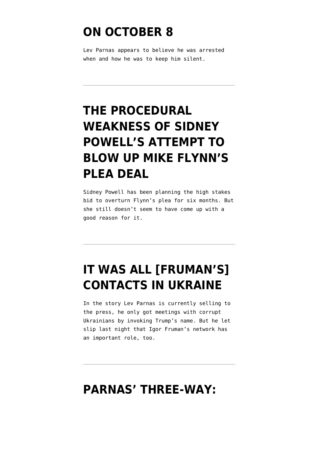#### **[ON OCTOBER 8](https://www.emptywheel.net/2020/01/18/kevin-downing-was-in-the-loop-of-silencing-lev-parnas-on-october-8/)**

Lev Parnas appears to believe he was arrested when and how he was to keep him silent.

# **[THE PROCEDURAL](https://www.emptywheel.net/2020/01/17/the-procedural-hilarity-of-sidney-powells-attempt-to-blow-up-mike-flynns-plea-deal/) [WEAKNESS OF SIDNEY](https://www.emptywheel.net/2020/01/17/the-procedural-hilarity-of-sidney-powells-attempt-to-blow-up-mike-flynns-plea-deal/) [POWELL'S ATTEMPT TO](https://www.emptywheel.net/2020/01/17/the-procedural-hilarity-of-sidney-powells-attempt-to-blow-up-mike-flynns-plea-deal/) [BLOW UP MIKE FLYNN'S](https://www.emptywheel.net/2020/01/17/the-procedural-hilarity-of-sidney-powells-attempt-to-blow-up-mike-flynns-plea-deal/) [PLEA DEAL](https://www.emptywheel.net/2020/01/17/the-procedural-hilarity-of-sidney-powells-attempt-to-blow-up-mike-flynns-plea-deal/)**

Sidney Powell has been planning the high stakes bid to overturn Flynn's plea for six months. But she still doesn't seem to have come up with a good reason for it.

# **[IT WAS ALL \[FRUMAN'S\]](https://www.emptywheel.net/2020/01/17/it-was-all-frumans-contacts-in-ukraine/) [CONTACTS IN UKRAINE](https://www.emptywheel.net/2020/01/17/it-was-all-frumans-contacts-in-ukraine/)**

In the story Lev Parnas is currently selling to the press, he only got meetings with corrupt Ukrainians by invoking Trump's name. But he let slip last night that Igor Fruman's network has an important role, too.

#### **[PARNAS' THREE-WAY:](https://www.emptywheel.net/2020/01/17/john-dowd-has-already-confirmed-a-key-part-of-lev-parnas-story/)**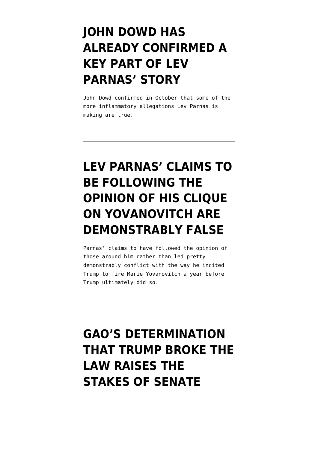# **[JOHN DOWD HAS](https://www.emptywheel.net/2020/01/17/john-dowd-has-already-confirmed-a-key-part-of-lev-parnas-story/) [ALREADY CONFIRMED A](https://www.emptywheel.net/2020/01/17/john-dowd-has-already-confirmed-a-key-part-of-lev-parnas-story/) [KEY PART OF LEV](https://www.emptywheel.net/2020/01/17/john-dowd-has-already-confirmed-a-key-part-of-lev-parnas-story/) [PARNAS' STORY](https://www.emptywheel.net/2020/01/17/john-dowd-has-already-confirmed-a-key-part-of-lev-parnas-story/)**

John Dowd confirmed in October that some of the more inflammatory allegations Lev Parnas is making are true.

# **[LEV PARNAS' CLAIMS TO](https://www.emptywheel.net/2020/01/16/lev-parnas-claims-to-be-following-the-opinion-of-his-clique-on-yovanovitch-are-demonstrably-false/) [BE FOLLOWING THE](https://www.emptywheel.net/2020/01/16/lev-parnas-claims-to-be-following-the-opinion-of-his-clique-on-yovanovitch-are-demonstrably-false/) [OPINION OF HIS CLIQUE](https://www.emptywheel.net/2020/01/16/lev-parnas-claims-to-be-following-the-opinion-of-his-clique-on-yovanovitch-are-demonstrably-false/) [ON YOVANOVITCH ARE](https://www.emptywheel.net/2020/01/16/lev-parnas-claims-to-be-following-the-opinion-of-his-clique-on-yovanovitch-are-demonstrably-false/) [DEMONSTRABLY FALSE](https://www.emptywheel.net/2020/01/16/lev-parnas-claims-to-be-following-the-opinion-of-his-clique-on-yovanovitch-are-demonstrably-false/)**

Parnas' claims to have followed the opinion of those around him rather than led pretty demonstrably conflict with the way he incited Trump to fire Marie Yovanovitch a year before Trump ultimately did so.

## **[GAO'S DETERMINATION](https://www.emptywheel.net/2020/01/16/gaos-determination-that-trump-broke-the-law-raises-the-stakes-of-senate-exoneration/) [THAT TRUMP BROKE THE](https://www.emptywheel.net/2020/01/16/gaos-determination-that-trump-broke-the-law-raises-the-stakes-of-senate-exoneration/) [LAW RAISES THE](https://www.emptywheel.net/2020/01/16/gaos-determination-that-trump-broke-the-law-raises-the-stakes-of-senate-exoneration/) [STAKES OF SENATE](https://www.emptywheel.net/2020/01/16/gaos-determination-that-trump-broke-the-law-raises-the-stakes-of-senate-exoneration/)**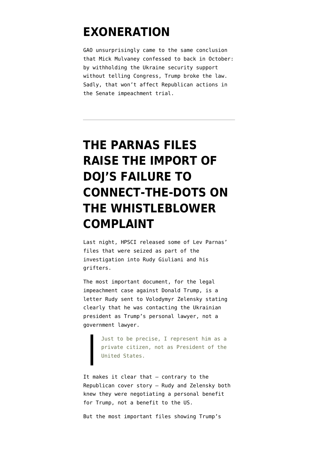#### **[EXONERATION](https://www.emptywheel.net/2020/01/16/gaos-determination-that-trump-broke-the-law-raises-the-stakes-of-senate-exoneration/)**

GAO unsurprisingly came to the same conclusion that Mick Mulvaney confessed to back in October: by withholding the Ukraine security support without telling Congress, Trump broke the law. Sadly, that won't affect Republican actions in the Senate impeachment trial.

# **[THE PARNAS FILES](https://www.emptywheel.net/2020/01/15/the-parnas-files-raise-the-import-of-dojs-failure-to-connect-the-dots-on-the-whistleblower-complaint/) [RAISE THE IMPORT OF](https://www.emptywheel.net/2020/01/15/the-parnas-files-raise-the-import-of-dojs-failure-to-connect-the-dots-on-the-whistleblower-complaint/) [DOJ'S FAILURE TO](https://www.emptywheel.net/2020/01/15/the-parnas-files-raise-the-import-of-dojs-failure-to-connect-the-dots-on-the-whistleblower-complaint/) [CONNECT-THE-DOTS ON](https://www.emptywheel.net/2020/01/15/the-parnas-files-raise-the-import-of-dojs-failure-to-connect-the-dots-on-the-whistleblower-complaint/) [THE WHISTLEBLOWER](https://www.emptywheel.net/2020/01/15/the-parnas-files-raise-the-import-of-dojs-failure-to-connect-the-dots-on-the-whistleblower-complaint/) [COMPLAINT](https://www.emptywheel.net/2020/01/15/the-parnas-files-raise-the-import-of-dojs-failure-to-connect-the-dots-on-the-whistleblower-complaint/)**

Last night, HPSCI [released](https://intelligence.house.gov/news/documentsingle.aspx?DocumentID=903) some of Lev Parnas' files that were seized as part of the investigation into Rudy Giuliani and his grifters.

The most important [document](https://intelligence.house.gov/uploadedfiles/20200114_-_hpsci_transmittal_letter_to_hjc_-_new_evidence_attachment.pdf), for the legal impeachment case against Donald Trump, is a letter Rudy sent to Volodymyr Zelensky stating clearly that he was contacting the Ukrainian president as Trump's personal lawyer, not a government lawyer.

Just to be precise, I represent him as a private citizen, not as President of the United States.

It makes it clear that — contrary to the Republican cover story — Rudy and Zelensky both knew they were negotiating a personal benefit for Trump, not a benefit to the US.

But the most important files showing Trump's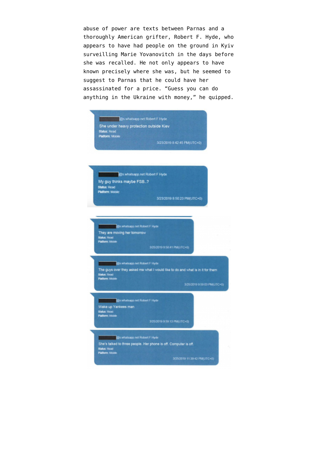abuse of power are texts between Parnas and [a](https://www.thedailybeast.com/who-is-robert-f-hyde-the-trump-donor-who-apparently-tracked-marie-yovanovitch) [thoroughly American grifter](https://www.thedailybeast.com/who-is-robert-f-hyde-the-trump-donor-who-apparently-tracked-marie-yovanovitch), Robert F. Hyde, who appears to have had people on the ground in Kyiv surveilling Marie Yovanovitch in the days before she was recalled. He not only appears to have known precisely where she was, but he seemed to suggest to Parnas that he could have her assassinated for a price. "Guess you can do anything in the Ukraine with money," he quipped.

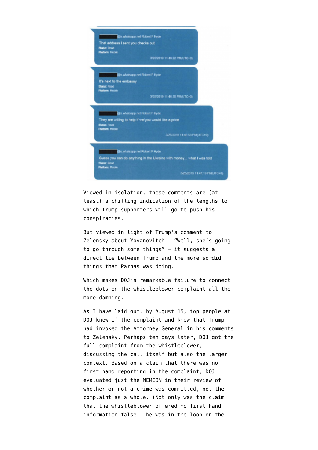

Viewed in isolation, these comments are (at least) a chilling indication of the lengths to which Trump supporters will go to push his conspiracies.

But viewed in light of Trump's [comment](https://www.cnn.com/2019/09/25/politics/donald-trump-ukraine-transcript-call/index.html) to Zelensky about Yovanovitch — "Well, she's going to go through some things" — it suggests a direct tie between Trump and the more sordid things that Parnas was doing.

Which makes DOJ's remarkable failure to connect the dots on the whistleblower complaint all the more damning.

As I have [laid out,](https://www.emptywheel.net/2019/11/07/after-engaging-in-multiple-overt-acts-benefitting-a-conspiracy-bill-barr-has-kerri-kupec-commit-the-most-overt-act/) by August 15, top people at DOJ knew of the complaint and knew that Trump had invoked the Attorney General in his comments to Zelensky. Perhaps ten days later, DOJ got the [full complaint](https://intelligence.house.gov/uploadedfiles/20190812_-_whistleblower_complaint_unclass.pdf) from the whistleblower, discussing the call itself but also the larger context. Based on a claim that there was no first hand reporting in the complaint, DOJ evaluated just the [MEMCON](https://www.whitehouse.gov/wp-content/uploads/2019/09/Unclassified09.2019.pdf) in their review of whether or not a crime was committed, not the complaint as a whole. (Not only was the claim that the whistleblower offered no first hand information false — he was in the loop on the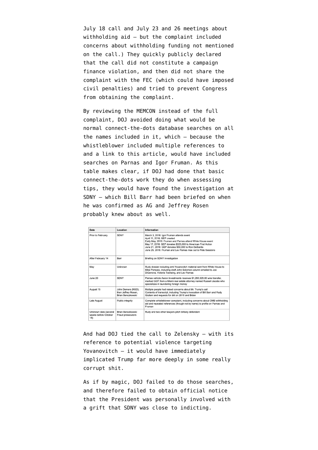July 18 call and July 23 and 26 meetings about withholding aid — but the complaint included concerns about withholding funding not mentioned on the call.) They quickly publicly declared that the call did not constitute a campaign finance violation, and then did not share the complaint with the FEC (which could have imposed civil penalties) and tried to prevent Congress from obtaining the complaint.

By reviewing the MEMCON instead of the full complaint, DOJ avoided doing what would be normal connect-the-dots database searches on all the names included in it, which — because the whistleblower included multiple references to and a link to [this article,](https://www.occrp.org/en/investigations/meet-the-florida-duo-helping-giuliani-dig-dirt-for-trump-in-ukraine) would have included searches on Parnas and Igor Fruman. As this table makes clear, if DOJ had done that basic connect-the-dots work they do when assessing tips, they would have found the investigation at SDNY — which Bill Barr had been briefed on when he was confirmed as AG and Jeffrey Rosen probably knew about as well.

| Date                                                 | Location                                                       | Information                                                                                                                                                                                                                                                                                                                    |
|------------------------------------------------------|----------------------------------------------------------------|--------------------------------------------------------------------------------------------------------------------------------------------------------------------------------------------------------------------------------------------------------------------------------------------------------------------------------|
| Prior to February                                    | SDNY                                                           | March 3, 2018: Igor Fruman attends event<br>April 11, 2018: GEP created<br>Early May, 2018: Fruman and Parnas attend White House event<br>May 17, 2018: GEP donates \$325,000 to American First Action<br>June 21, 2018: GEP donates \$50,000 to Ron DeSantis<br>June 25, 2018: Fruman and Lev Parnas max out to Pete Sessions |
| After February 14                                    | Barr                                                           | Briefing on SDNY investigation                                                                                                                                                                                                                                                                                                 |
| May                                                  | Unknown                                                        | Rudy dossier including anti-Yovanovitch material sent from White House to<br>Mike Pompeo, including draft John Solomon column emailed to Joe<br>DiGenova, Victoria Toensing, and Lev Parnas                                                                                                                                    |
| June 20                                              | <b>SDNY</b>                                                    | Parnas vehicle Aaron Investments receives \$1,260,329.80 wire transfer.<br>marked GEP, from a Miami real estate attorney named Russell Jacobs who<br>specializes in laundering foreign money                                                                                                                                   |
| August 15                                            | John Demers (NSD).<br>then Jeffrey Rosen,<br>Brian Benczkowski | Multiple people had raised concerns about Mr. Trump's call<br>Contents of transcript, including Trump's invocation of Bill Barr and Rudy<br>Giuliani and requests for dirt on 2016 and Biden                                                                                                                                   |
| Late August                                          | Public integrity                                               | Complete whistleblower complaint, including concerns about OMB withholding<br>aid and repeated references (though not by name) to profile on Parnas and<br>Fruman                                                                                                                                                              |
| Unknown date (several<br>weeks before October<br>18) | Brian Benczkowski<br><b>Fraud prosecutors</b>                  | Rudy and two other lawyers pitch bribery defendant                                                                                                                                                                                                                                                                             |

And had DOJ tied the call to Zelensky — with its reference to potential violence targeting Yovanovitch — it would have immediately implicated Trump far more deeply in some really corrupt shit.

As if by magic, DOJ failed to do those searches, and therefore failed to obtain official notice that the President was personally involved with a grift that SDNY was close to indicting.